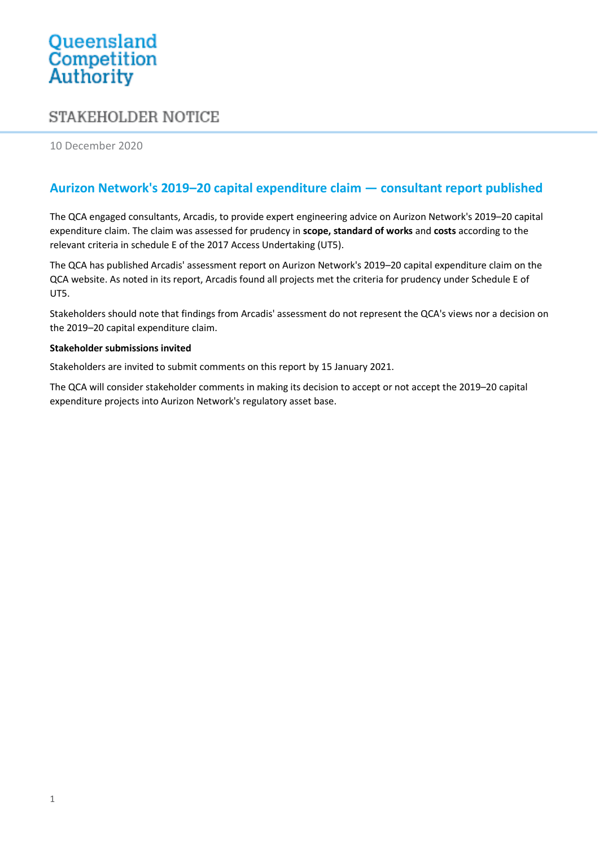# Queensland<br>Competition Authority

# **STAKEHOLDER NOTICE**

10 December 2020

# **Aurizon Network's 2019–20 capital expenditure claim — consultant report published**

The QCA engaged consultants, Arcadis, to provide expert engineering advice on Aurizon Network's 2019–20 capital expenditure claim. The claim was assessed for prudency in **scope, standard of works** and **costs** according to the relevant criteria in schedule E of the 2017 Access Undertaking (UT5).

The QCA has published Arcadis' assessment report on Aurizon Network's 2019–20 capital expenditure claim on the QCA website. As noted in its report, Arcadis found all projects met the criteria for prudency under Schedule E of UT5.

Stakeholders should note that findings from Arcadis' assessment do not represent the QCA's views nor a decision on the 2019–20 capital expenditure claim.

#### **Stakeholder submissions invited**

Stakeholders are invited to submit comments on this report by 15 January 2021.

The QCA will consider stakeholder comments in making its decision to accept or not accept the 2019–20 capital expenditure projects into Aurizon Network's regulatory asset base.